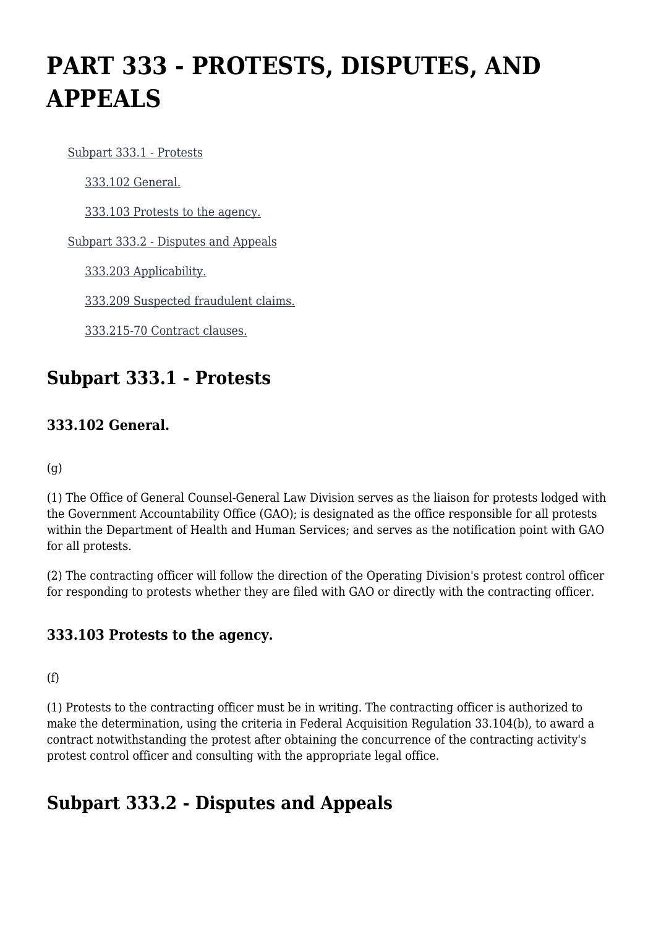# **PART 333 - PROTESTS, DISPUTES, AND APPEALS**

[Subpart 333.1 - Protests](https://origin-www.acquisition.gov/%5Brp:link:hhsar-part-333%5D#Subpart_333_1_T48_4015291)

[333.102 General.](https://origin-www.acquisition.gov/%5Brp:link:hhsar-part-333%5D#Section_333_102_T48_401529111)

[333.103 Protests to the agency.](https://origin-www.acquisition.gov/%5Brp:link:hhsar-part-333%5D#Section_333_103_T48_401529112)

[Subpart 333.2 - Disputes and Appeals](https://origin-www.acquisition.gov/%5Brp:link:hhsar-part-333%5D#Subpart_333_2_T48_4015292)

[333.203 Applicability.](https://origin-www.acquisition.gov/%5Brp:link:hhsar-part-333%5D#Section_333_203_T48_401529211)

[333.209 Suspected fraudulent claims.](https://origin-www.acquisition.gov/%5Brp:link:hhsar-part-333%5D#Section_333_209_T48_401529212)

[333.215-70 Contract clauses.](https://origin-www.acquisition.gov/%5Brp:link:hhsar-part-333%5D#Section_333_215_70_T48_401529213)

# **Subpart 333.1 - Protests**

### **333.102 General.**

(g)

(1) The Office of General Counsel-General Law Division serves as the liaison for protests lodged with the Government Accountability Office (GAO); is designated as the office responsible for all protests within the Department of Health and Human Services; and serves as the notification point with GAO for all protests.

(2) The contracting officer will follow the direction of the Operating Division's protest control officer for responding to protests whether they are filed with GAO or directly with the contracting officer.

### **333.103 Protests to the agency.**

(f)

(1) Protests to the contracting officer must be in writing. The contracting officer is authorized to make the determination, using the criteria in Federal Acquisition Regulation 33.104(b), to award a contract notwithstanding the protest after obtaining the concurrence of the contracting activity's protest control officer and consulting with the appropriate legal office.

## **Subpart 333.2 - Disputes and Appeals**